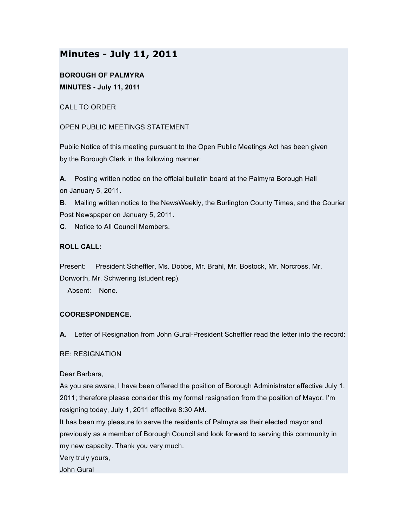# **Minutes - July 11, 2011**

**BOROUGH OF PALMYRA MINUTES - July 11, 2011**

CALL TO ORDER

OPEN PUBLIC MEETINGS STATEMENT

Public Notice of this meeting pursuant to the Open Public Meetings Act has been given by the Borough Clerk in the following manner:

**A**. Posting written notice on the official bulletin board at the Palmyra Borough Hall on January 5, 2011.

**B**. Mailing written notice to the NewsWeekly, the Burlington County Times, and the Courier Post Newspaper on January 5, 2011.

**C**. Notice to All Council Members.

# **ROLL CALL:**

Present: President Scheffler, Ms. Dobbs, Mr. Brahl, Mr. Bostock, Mr. Norcross, Mr. Dorworth, Mr. Schwering (student rep).

Absent: None.

# **COORESPONDENCE.**

**A.** Letter of Resignation from John Gural-President Scheffler read the letter into the record:

# RE: RESIGNATION

Dear Barbara,

As you are aware, I have been offered the position of Borough Administrator effective July 1, 2011; therefore please consider this my formal resignation from the position of Mayor. I'm resigning today, July 1, 2011 effective 8:30 AM.

It has been my pleasure to serve the residents of Palmyra as their elected mayor and previously as a member of Borough Council and look forward to serving this community in my new capacity. Thank you very much.

Very truly yours,

John Gural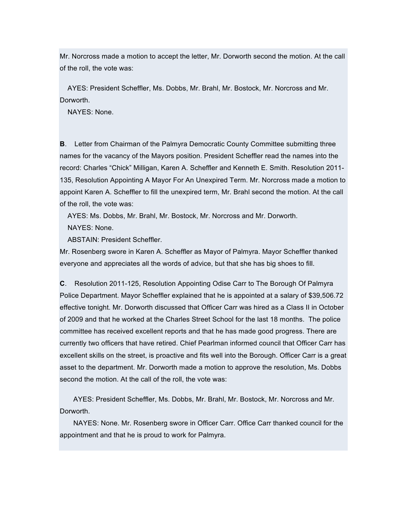Mr. Norcross made a motion to accept the letter, Mr. Dorworth second the motion. At the call of the roll, the vote was:

AYES: President Scheffler, Ms. Dobbs, Mr. Brahl, Mr. Bostock, Mr. Norcross and Mr. Dorworth.

NAYES: None.

**B**. Letter from Chairman of the Palmyra Democratic County Committee submitting three names for the vacancy of the Mayors position. President Scheffler read the names into the record: Charles "Chick" Milligan, Karen A. Scheffler and Kenneth E. Smith. Resolution 2011- 135, Resolution Appointing A Mayor For An Unexpired Term. Mr. Norcross made a motion to appoint Karen A. Scheffler to fill the unexpired term, Mr. Brahl second the motion. At the call of the roll, the vote was:

AYES: Ms. Dobbs, Mr. Brahl, Mr. Bostock, Mr. Norcross and Mr. Dorworth.

NAYES: None.

ABSTAIN: President Scheffler.

Mr. Rosenberg swore in Karen A. Scheffler as Mayor of Palmyra. Mayor Scheffler thanked everyone and appreciates all the words of advice, but that she has big shoes to fill.

**C**. Resolution 2011-125, Resolution Appointing Odise Carr to The Borough Of Palmyra Police Department. Mayor Scheffler explained that he is appointed at a salary of \$39,506.72 effective tonight. Mr. Dorworth discussed that Officer Carr was hired as a Class II in October of 2009 and that he worked at the Charles Street School for the last 18 months. The police committee has received excellent reports and that he has made good progress. There are currently two officers that have retired. Chief Pearlman informed council that Officer Carr has excellent skills on the street, is proactive and fits well into the Borough. Officer Carr is a great asset to the department. Mr. Dorworth made a motion to approve the resolution, Ms. Dobbs second the motion. At the call of the roll, the vote was:

AYES: President Scheffler, Ms. Dobbs, Mr. Brahl, Mr. Bostock, Mr. Norcross and Mr. Dorworth.

NAYES: None. Mr. Rosenberg swore in Officer Carr. Office Carr thanked council for the appointment and that he is proud to work for Palmyra.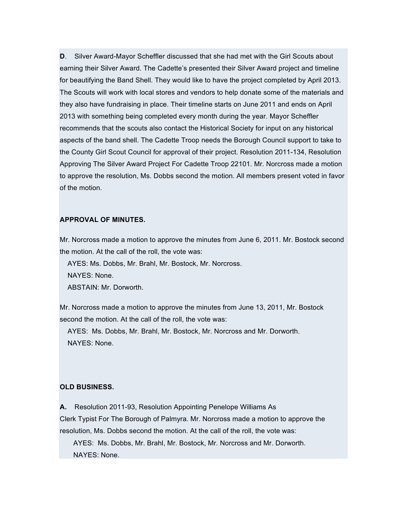**D**. Silver Award-Mayor Scheffler discussed that she had met with the Girl Scouts about earning their Silver Award. The Cadette's presented their Silver Award project and timeline for beautifying the Band Shell. They would like to have the project completed by April 2013. The Scouts will work with local stores and vendors to help donate some of the materials and they also have fundraising in place. Their timeline starts on June 2011 and ends on April 2013 with something being completed every month during the year. Mayor Scheffler recommends that the scouts also contact the Historical Society for input on any historical aspects of the band shell. The Cadette Troop needs the Borough Council support to take to the County Girl Scout Council for approval of their project. Resolution 2011-134, Resolution Approving The Silver Award Project For Cadette Troop 22101. Mr. Norcross made a motion to approve the resolution, Ms. Dobbs second the motion. All members present voted in favor of the motion.

# **APPROVAL OF MINUTES.**

Mr. Norcross made a motion to approve the minutes from June 6, 2011. Mr. Bostock second the motion. At the call of the roll, the vote was:

AYES: Ms. Dobbs, Mr. Brahl, Mr. Bostock, Mr. Norcross. NAYES: None. ABSTAIN: Mr. Dorworth.

Mr. Norcross made a motion to approve the minutes from June 13, 2011, Mr. Bostock second the motion. At the call of the roll, the vote was:

AYES: Ms. Dobbs, Mr. Brahl, Mr. Bostock, Mr. Norcross and Mr. Dorworth. NAYES: None.

#### **OLD BUSINESS.**

**A.** Resolution 2011-93, Resolution Appointing Penelope Williams As Clerk Typist For The Borough of Palmyra. Mr. Norcross made a motion to approve the resolution, Ms. Dobbs second the motion. At the call of the roll, the vote was:

AYES: Ms. Dobbs, Mr. Brahl, Mr. Bostock, Mr. Norcross and Mr. Dorworth. NAYES: None.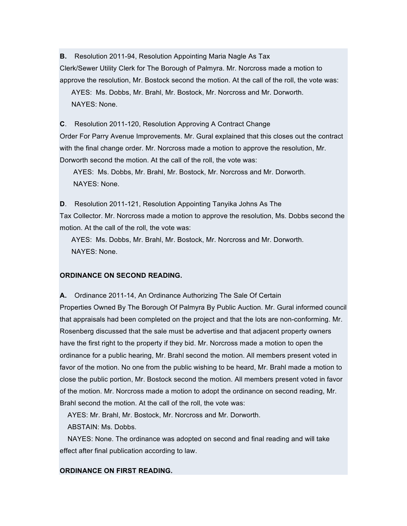**B.** Resolution 2011-94, Resolution Appointing Maria Nagle As Tax Clerk/Sewer Utility Clerk for The Borough of Palmyra. Mr. Norcross made a motion to approve the resolution, Mr. Bostock second the motion. At the call of the roll, the vote was: AYES: Ms. Dobbs, Mr. Brahl, Mr. Bostock, Mr. Norcross and Mr. Dorworth. NAYES: None.

**C**. Resolution 2011-120, Resolution Approving A Contract Change Order For Parry Avenue Improvements. Mr. Gural explained that this closes out the contract with the final change order. Mr. Norcross made a motion to approve the resolution, Mr. Dorworth second the motion. At the call of the roll, the vote was:

AYES: Ms. Dobbs, Mr. Brahl, Mr. Bostock, Mr. Norcross and Mr. Dorworth. NAYES: None.

**D**. Resolution 2011-121, Resolution Appointing Tanyika Johns As The Tax Collector. Mr. Norcross made a motion to approve the resolution, Ms. Dobbs second the motion. At the call of the roll, the vote was:

AYES: Ms. Dobbs, Mr. Brahl, Mr. Bostock, Mr. Norcross and Mr. Dorworth. NAYES: None.

# **ORDINANCE ON SECOND READING.**

**A.** Ordinance 2011-14, An Ordinance Authorizing The Sale Of Certain Properties Owned By The Borough Of Palmyra By Public Auction. Mr. Gural informed council that appraisals had been completed on the project and that the lots are non-conforming. Mr. Rosenberg discussed that the sale must be advertise and that adjacent property owners have the first right to the property if they bid. Mr. Norcross made a motion to open the ordinance for a public hearing, Mr. Brahl second the motion. All members present voted in favor of the motion. No one from the public wishing to be heard, Mr. Brahl made a motion to close the public portion, Mr. Bostock second the motion. All members present voted in favor of the motion. Mr. Norcross made a motion to adopt the ordinance on second reading, Mr. Brahl second the motion. At the call of the roll, the vote was:

AYES: Mr. Brahl, Mr. Bostock, Mr. Norcross and Mr. Dorworth.

ABSTAIN: Ms. Dobbs.

NAYES: None. The ordinance was adopted on second and final reading and will take effect after final publication according to law.

# **ORDINANCE ON FIRST READING.**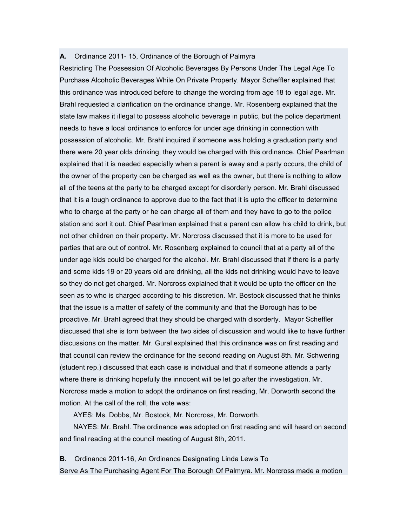#### **A.** Ordinance 2011- 15, Ordinance of the Borough of Palmyra

Restricting The Possession Of Alcoholic Beverages By Persons Under The Legal Age To Purchase Alcoholic Beverages While On Private Property. Mayor Scheffler explained that this ordinance was introduced before to change the wording from age 18 to legal age. Mr. Brahl requested a clarification on the ordinance change. Mr. Rosenberg explained that the state law makes it illegal to possess alcoholic beverage in public, but the police department needs to have a local ordinance to enforce for under age drinking in connection with possession of alcoholic. Mr. Brahl inquired if someone was holding a graduation party and there were 20 year olds drinking, they would be charged with this ordinance. Chief Pearlman explained that it is needed especially when a parent is away and a party occurs, the child of the owner of the property can be charged as well as the owner, but there is nothing to allow all of the teens at the party to be charged except for disorderly person. Mr. Brahl discussed that it is a tough ordinance to approve due to the fact that it is upto the officer to determine who to charge at the party or he can charge all of them and they have to go to the police station and sort it out. Chief Pearlman explained that a parent can allow his child to drink, but not other children on their property. Mr. Norcross discussed that it is more to be used for parties that are out of control. Mr. Rosenberg explained to council that at a party all of the under age kids could be charged for the alcohol. Mr. Brahl discussed that if there is a party and some kids 19 or 20 years old are drinking, all the kids not drinking would have to leave so they do not get charged. Mr. Norcross explained that it would be upto the officer on the seen as to who is charged according to his discretion. Mr. Bostock discussed that he thinks that the issue is a matter of safety of the community and that the Borough has to be proactive. Mr. Brahl agreed that they should be charged with disorderly. Mayor Scheffler discussed that she is torn between the two sides of discussion and would like to have further discussions on the matter. Mr. Gural explained that this ordinance was on first reading and that council can review the ordinance for the second reading on August 8th. Mr. Schwering (student rep.) discussed that each case is individual and that if someone attends a party where there is drinking hopefully the innocent will be let go after the investigation. Mr. Norcross made a motion to adopt the ordinance on first reading, Mr. Dorworth second the motion. At the call of the roll, the vote was:

AYES: Ms. Dobbs, Mr. Bostock, Mr. Norcross, Mr. Dorworth.

NAYES: Mr. Brahl. The ordinance was adopted on first reading and will heard on second and final reading at the council meeting of August 8th, 2011.

**B.** Ordinance 2011-16, An Ordinance Designating Linda Lewis To Serve As The Purchasing Agent For The Borough Of Palmyra. Mr. Norcross made a motion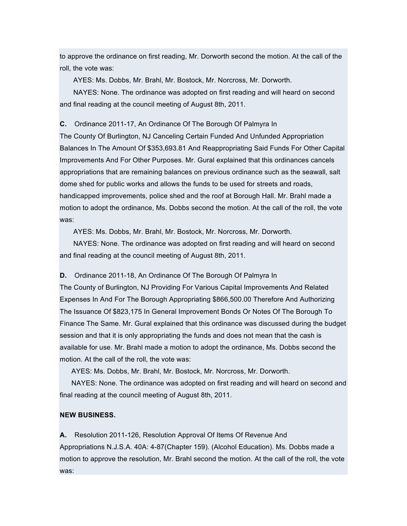to approve the ordinance on first reading, Mr. Dorworth second the motion. At the call of the roll, the vote was:

AYES: Ms. Dobbs, Mr. Brahl, Mr. Bostock, Mr. Norcross, Mr. Dorworth.

NAYES: None. The ordinance was adopted on first reading and will heard on second and final reading at the council meeting of August 8th, 2011.

**C.** Ordinance 2011-17, An Ordinance Of The Borough Of Palmyra In

The County Of Burlington, NJ Canceling Certain Funded And Unfunded Appropriation Balances In The Amount Of \$353,693.81 And Reappropriating Said Funds For Other Capital Improvements And For Other Purposes. Mr. Gural explained that this ordinances cancels appropriations that are remaining balances on previous ordinance such as the seawall, salt dome shed for public works and allows the funds to be used for streets and roads, handicapped improvements, police shed and the roof at Borough Hall. Mr. Brahl made a motion to adopt the ordinance, Ms. Dobbs second the motion. At the call of the roll, the vote was:

AYES: Ms. Dobbs, Mr. Brahl, Mr. Bostock, Mr. Norcross, Mr. Dorworth.

NAYES: None. The ordinance was adopted on first reading and will heard on second and final reading at the council meeting of August 8th, 2011.

**D.** Ordinance 2011-18, An Ordinance Of The Borough Of Palmyra In

The County of Burlington, NJ Providing For Various Capital Improvements And Related Expenses In And For The Borough Appropriating \$866,500.00 Therefore And Authorizing The Issuance Of \$823,175 In General Improvement Bonds Or Notes Of The Borough To Finance The Same. Mr. Gural explained that this ordinance was discussed during the budget session and that it is only appropriating the funds and does not mean that the cash is available for use. Mr. Brahl made a motion to adopt the ordinance, Ms. Dobbs second the motion. At the call of the roll, the vote was:

AYES: Ms. Dobbs, Mr. Brahl, Mr. Bostock, Mr. Norcross, Mr. Dorworth.

NAYES: None. The ordinance was adopted on first reading and will heard on second and final reading at the council meeting of August 8th, 2011.

#### **NEW BUSINESS.**

**A.** Resolution 2011-126, Resolution Approval Of Items Of Revenue And Appropriations N.J.S.A. 40A: 4-87(Chapter 159). (Alcohol Education). Ms. Dobbs made a motion to approve the resolution, Mr. Brahl second the motion. At the call of the roll, the vote was: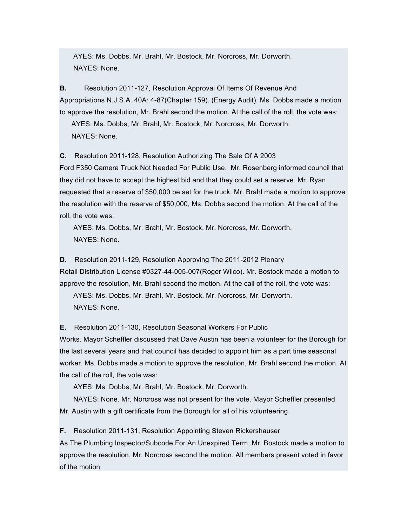AYES: Ms. Dobbs, Mr. Brahl, Mr. Bostock, Mr. Norcross, Mr. Dorworth. NAYES: None.

**B.** Resolution 2011-127, Resolution Approval Of Items Of Revenue And Appropriations N.J.S.A. 40A: 4-87(Chapter 159). (Energy Audit). Ms. Dobbs made a motion to approve the resolution, Mr. Brahl second the motion. At the call of the roll, the vote was:

AYES: Ms. Dobbs, Mr. Brahl, Mr. Bostock, Mr. Norcross, Mr. Dorworth.

NAYES: None.

**C.** Resolution 2011-128, Resolution Authorizing The Sale Of A 2003

Ford F350 Camera Truck Not Needed For Public Use. Mr. Rosenberg informed council that they did not have to accept the highest bid and that they could set a reserve. Mr. Ryan requested that a reserve of \$50,000 be set for the truck. Mr. Brahl made a motion to approve the resolution with the reserve of \$50,000, Ms. Dobbs second the motion. At the call of the roll, the vote was:

AYES: Ms. Dobbs, Mr. Brahl, Mr. Bostock, Mr. Norcross, Mr. Dorworth. NAYES: None.

**D.** Resolution 2011-129, Resolution Approving The 2011-2012 Plenary Retail Distribution License #0327-44-005-007(Roger Wilco). Mr. Bostock made a motion to approve the resolution, Mr. Brahl second the motion. At the call of the roll, the vote was: AYES: Ms. Dobbs, Mr. Brahl, Mr. Bostock, Mr. Norcross, Mr. Dorworth. NAYES: None.

**E.** Resolution 2011-130, Resolution Seasonal Workers For Public

Works. Mayor Scheffler discussed that Dave Austin has been a volunteer for the Borough for the last several years and that council has decided to appoint him as a part time seasonal worker. Ms. Dobbs made a motion to approve the resolution, Mr. Brahl second the motion. At the call of the roll, the vote was:

AYES: Ms. Dobbs, Mr. Brahl, Mr. Bostock, Mr. Dorworth.

NAYES: None. Mr. Norcross was not present for the vote. Mayor Scheffler presented Mr. Austin with a gift certificate from the Borough for all of his volunteering.

**F.** Resolution 2011-131, Resolution Appointing Steven Rickershauser

As The Plumbing Inspector/Subcode For An Unexpired Term. Mr. Bostock made a motion to approve the resolution, Mr. Norcross second the motion. All members present voted in favor of the motion.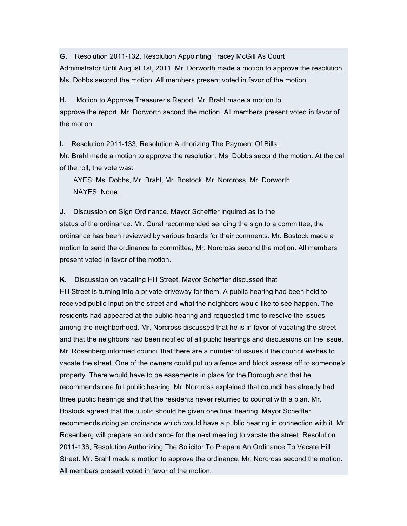**G.** Resolution 2011-132, Resolution Appointing Tracey McGill As Court Administrator Until August 1st, 2011. Mr. Dorworth made a motion to approve the resolution, Ms. Dobbs second the motion. All members present voted in favor of the motion.

**H.** Motion to Approve Treasurer's Report. Mr. Brahl made a motion to approve the report, Mr. Dorworth second the motion. All members present voted in favor of the motion.

**I.** Resolution 2011-133, Resolution Authorizing The Payment Of Bills. Mr. Brahl made a motion to approve the resolution, Ms. Dobbs second the motion. At the call of the roll, the vote was:

AYES: Ms. Dobbs, Mr. Brahl, Mr. Bostock, Mr. Norcross, Mr. Dorworth. NAYES: None.

**J.** Discussion on Sign Ordinance. Mayor Scheffler inquired as to the status of the ordinance. Mr. Gural recommended sending the sign to a committee, the ordinance has been reviewed by various boards for their comments. Mr. Bostock made a motion to send the ordinance to committee, Mr. Norcross second the motion. All members present voted in favor of the motion.

#### **K.** Discussion on vacating Hill Street. Mayor Scheffler discussed that

Hill Street is turning into a private driveway for them. A public hearing had been held to received public input on the street and what the neighbors would like to see happen. The residents had appeared at the public hearing and requested time to resolve the issues among the neighborhood. Mr. Norcross discussed that he is in favor of vacating the street and that the neighbors had been notified of all public hearings and discussions on the issue. Mr. Rosenberg informed council that there are a number of issues if the council wishes to vacate the street. One of the owners could put up a fence and block assess off to someone's property. There would have to be easements in place for the Borough and that he recommends one full public hearing. Mr. Norcross explained that council has already had three public hearings and that the residents never returned to council with a plan. Mr. Bostock agreed that the public should be given one final hearing. Mayor Scheffler recommends doing an ordinance which would have a public hearing in connection with it. Mr. Rosenberg will prepare an ordinance for the next meeting to vacate the street. Resolution 2011-136, Resolution Authorizing The Solicitor To Prepare An Ordinance To Vacate Hill Street. Mr. Brahl made a motion to approve the ordinance, Mr. Norcross second the motion. All members present voted in favor of the motion.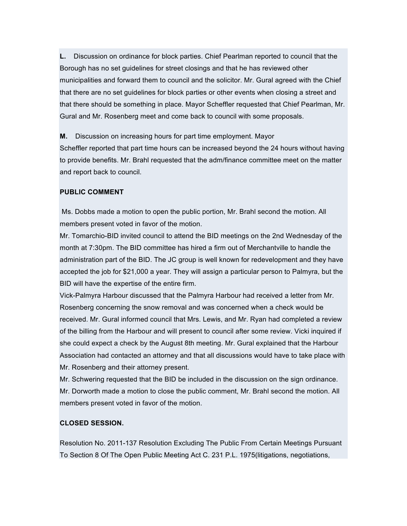**L.** Discussion on ordinance for block parties. Chief Pearlman reported to council that the Borough has no set guidelines for street closings and that he has reviewed other municipalities and forward them to council and the solicitor. Mr. Gural agreed with the Chief that there are no set guidelines for block parties or other events when closing a street and that there should be something in place. Mayor Scheffler requested that Chief Pearlman, Mr. Gural and Mr. Rosenberg meet and come back to council with some proposals.

**M.** Discussion on increasing hours for part time employment. Mayor Scheffler reported that part time hours can be increased beyond the 24 hours without having to provide benefits. Mr. Brahl requested that the adm/finance committee meet on the matter and report back to council.

# **PUBLIC COMMENT**

Ms. Dobbs made a motion to open the public portion, Mr. Brahl second the motion. All members present voted in favor of the motion.

Mr. Tomarchio-BID invited council to attend the BID meetings on the 2nd Wednesday of the month at 7:30pm. The BID committee has hired a firm out of Merchantville to handle the administration part of the BID. The JC group is well known for redevelopment and they have accepted the job for \$21,000 a year. They will assign a particular person to Palmyra, but the BID will have the expertise of the entire firm.

Vick-Palmyra Harbour discussed that the Palmyra Harbour had received a letter from Mr. Rosenberg concerning the snow removal and was concerned when a check would be received. Mr. Gural informed council that Mrs. Lewis, and Mr. Ryan had completed a review of the billing from the Harbour and will present to council after some review. Vicki inquired if she could expect a check by the August 8th meeting. Mr. Gural explained that the Harbour Association had contacted an attorney and that all discussions would have to take place with Mr. Rosenberg and their attorney present.

Mr. Schwering requested that the BID be included in the discussion on the sign ordinance. Mr. Dorworth made a motion to close the public comment, Mr. Brahl second the motion. All members present voted in favor of the motion.

#### **CLOSED SESSION.**

Resolution No. 2011-137 Resolution Excluding The Public From Certain Meetings Pursuant To Section 8 Of The Open Public Meeting Act C. 231 P.L. 1975(litigations, negotiations,